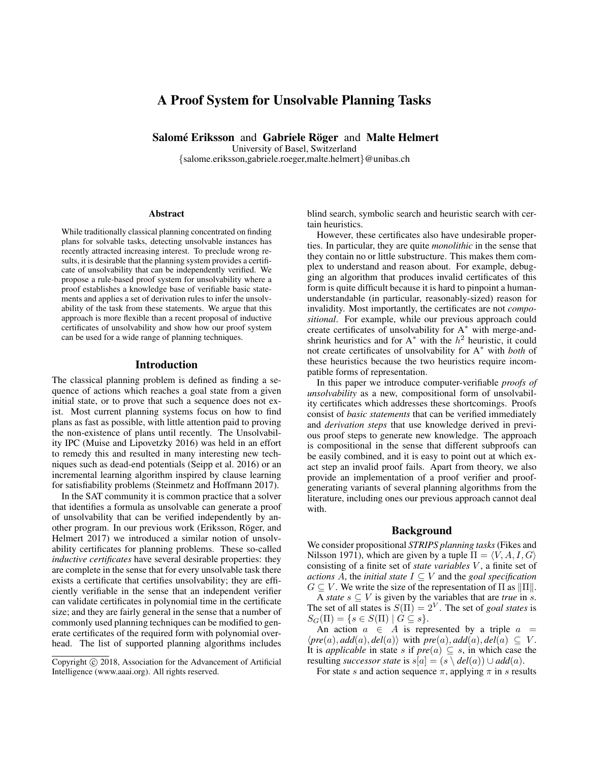# A Proof System for Unsolvable Planning Tasks

Salomé Eriksson and Gabriele Röger and Malte Helmert

University of Basel, Switzerland {salome.eriksson,gabriele.roeger,malte.helmert}@unibas.ch

#### Abstract

While traditionally classical planning concentrated on finding plans for solvable tasks, detecting unsolvable instances has recently attracted increasing interest. To preclude wrong results, it is desirable that the planning system provides a certificate of unsolvability that can be independently verified. We propose a rule-based proof system for unsolvability where a proof establishes a knowledge base of verifiable basic statements and applies a set of derivation rules to infer the unsolvability of the task from these statements. We argue that this approach is more flexible than a recent proposal of inductive certificates of unsolvability and show how our proof system can be used for a wide range of planning techniques.

### Introduction

The classical planning problem is defined as finding a sequence of actions which reaches a goal state from a given initial state, or to prove that such a sequence does not exist. Most current planning systems focus on how to find plans as fast as possible, with little attention paid to proving the non-existence of plans until recently. The Unsolvability IPC (Muise and Lipovetzky 2016) was held in an effort to remedy this and resulted in many interesting new techniques such as dead-end potentials (Seipp et al. 2016) or an incremental learning algorithm inspired by clause learning for satisfiability problems (Steinmetz and Hoffmann 2017).

In the SAT community it is common practice that a solver that identifies a formula as unsolvable can generate a proof of unsolvability that can be verified independently by another program. In our previous work (Eriksson, Röger, and Helmert 2017) we introduced a similar notion of unsolvability certificates for planning problems. These so-called *inductive certificates* have several desirable properties: they are complete in the sense that for every unsolvable task there exists a certificate that certifies unsolvability; they are efficiently verifiable in the sense that an independent verifier can validate certificates in polynomial time in the certificate size; and they are fairly general in the sense that a number of commonly used planning techniques can be modified to generate certificates of the required form with polynomial overhead. The list of supported planning algorithms includes

blind search, symbolic search and heuristic search with certain heuristics.

However, these certificates also have undesirable properties. In particular, they are quite *monolithic* in the sense that they contain no or little substructure. This makes them complex to understand and reason about. For example, debugging an algorithm that produces invalid certificates of this form is quite difficult because it is hard to pinpoint a humanunderstandable (in particular, reasonably-sized) reason for invalidity. Most importantly, the certificates are not *compositional*. For example, while our previous approach could create certificates of unsolvability for A<sup>∗</sup> with merge-andshrink heuristics and for  $A^*$  with the  $h^2$  heuristic, it could not create certificates of unsolvability for A<sup>∗</sup> with *both* of these heuristics because the two heuristics require incompatible forms of representation.

In this paper we introduce computer-verifiable *proofs of unsolvability* as a new, compositional form of unsolvability certificates which addresses these shortcomings. Proofs consist of *basic statements* that can be verified immediately and *derivation steps* that use knowledge derived in previous proof steps to generate new knowledge. The approach is compositional in the sense that different subproofs can be easily combined, and it is easy to point out at which exact step an invalid proof fails. Apart from theory, we also provide an implementation of a proof verifier and proofgenerating variants of several planning algorithms from the literature, including ones our previous approach cannot deal with.

### Background

We consider propositional *STRIPS planning tasks* (Fikes and Nilsson 1971), which are given by a tuple  $\Pi = \langle V, A, I, G \rangle$ consisting of a finite set of *state variables* V , a finite set of *actions* A, the *initial state*  $I \subseteq V$  and the *goal specification*  $G \subseteq V$ . We write the size of the representation of  $\Pi$  as  $\|\Pi\|$ .

A *state*  $s \subseteq V$  is given by the variables that are *true* in *s*. The set of all states is  $S(\Pi) = 2^V$ . The set of *goal states* is  $S_G(\Pi) = \{s \in S(\Pi) \mid G \subseteq s\}.$ 

An action  $a \in A$  is represented by a triple  $a =$  $\langle pre(a), add(a), del(a) \rangle$  with  $\overline{pre(a), add(a), del(a)} \subseteq V$ . It is *applicable* in state s if  $pre(a) \subseteq s$ , in which case the resulting *successor state* is  $s[a] = (s \ \langle \ del(a) \ \cup \ add(a).$ 

For state s and action sequence  $\pi$ , applying  $\pi$  in s results

Copyright (c) 2018, Association for the Advancement of Artificial Intelligence (www.aaai.org). All rights reserved.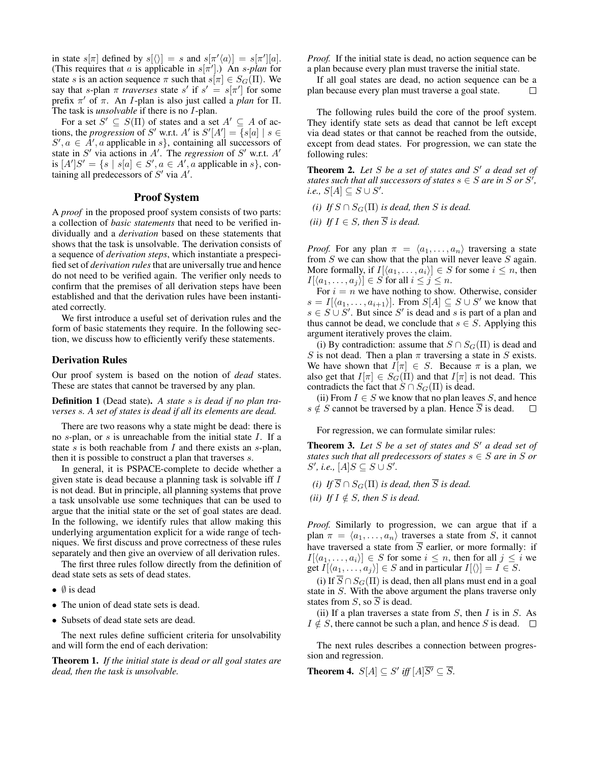in state  $s[\pi]$  defined by  $s[\langle \rangle] = s$  and  $s[\pi' \langle a \rangle] = s[\pi'][a]$ . (This requires that a is applicable in  $s[\pi']$ .) An  $s$ -plan for state s is an action sequence  $\pi$  such that  $s[\pi] \in S_G(\Pi)$ . We say that s-plan  $\pi$  *traverses* state s' if  $s' = s[\pi']$  for some prefix  $\pi'$  of  $\pi$ . An *I*-plan is also just called a *plan* for  $\Pi$ . The task is *unsolvable* if there is no I-plan.

For a set  $S' \subseteq S(\Pi)$  of states and a set  $A' \subseteq A$  of actions, the *progression* of S' w.r.t. A' is  $S'[A'] = \{s[a] \mid s \in \mathbb{R}\}$  $S', a \in A', a$  applicable in s, containing all successors of state in  $S'$  via actions in  $A'$ . The *regression* of  $S'$  w.r.t.  $A'$ is  $[A']S' = \{s \mid s[a] \in S', a \in A', a$  applicable in s, containing all predecessors of  $S'$  via  $A'$ .

### Proof System

A *proof* in the proposed proof system consists of two parts: a collection of *basic statements* that need to be verified individually and a *derivation* based on these statements that shows that the task is unsolvable. The derivation consists of a sequence of *derivation steps*, which instantiate a prespecified set of *derivation rules*that are universally true and hence do not need to be verified again. The verifier only needs to confirm that the premises of all derivation steps have been established and that the derivation rules have been instantiated correctly.

We first introduce a useful set of derivation rules and the form of basic statements they require. In the following section, we discuss how to efficiently verify these statements.

#### Derivation Rules

Our proof system is based on the notion of *dead* states. These are states that cannot be traversed by any plan.

Definition 1 (Dead state). *A state* s *is dead if no plan traverses* s*. A set of states is dead if all its elements are dead.*

There are two reasons why a state might be dead: there is no  $s$ -plan, or  $s$  is unreachable from the initial state  $I$ . If a state s is both reachable from  $I$  and there exists an s-plan, then it is possible to construct a plan that traverses s.

In general, it is PSPACE-complete to decide whether a given state is dead because a planning task is solvable iff I is not dead. But in principle, all planning systems that prove a task unsolvable use some techniques that can be used to argue that the initial state or the set of goal states are dead. In the following, we identify rules that allow making this underlying argumentation explicit for a wide range of techniques. We first discuss and prove correctness of these rules separately and then give an overview of all derivation rules.

The first three rules follow directly from the definition of dead state sets as sets of dead states.

- $\bullet$   $\emptyset$  is dead
- The union of dead state sets is dead.
- Subsets of dead state sets are dead.

The next rules define sufficient criteria for unsolvability and will form the end of each derivation:

Theorem 1. *If the initial state is dead or all goal states are dead, then the task is unsolvable.*

*Proof.* If the initial state is dead, no action sequence can be a plan because every plan must traverse the initial state.

If all goal states are dead, no action sequence can be a plan because every plan must traverse a goal state.  $\Box$ 

The following rules build the core of the proof system. They identify state sets as dead that cannot be left except via dead states or that cannot be reached from the outside, except from dead states. For progression, we can state the following rules:

Theorem 2. Let S be a set of states and S' a dead set of *states such that all successors of states*  $s \in S$  *are in*  $S$  *or*  $S'$ ,  $i.e., S[A] \subseteq S \cup S'.$ 

*(i) If*  $S \cap S_G(\Pi)$  *is dead, then S is dead.* 

*(ii) If*  $I \in S$ *, then*  $\overline{S}$  *is dead.* 

*Proof.* For any plan  $\pi = \langle a_1, \ldots, a_n \rangle$  traversing a state from  $S$  we can show that the plan will never leave  $S$  again. More formally, if  $I[\langle a_1, \ldots, a_i \rangle] \in S$  for some  $i \leq n$ , then  $I[\langle a_1, \ldots, a_j \rangle] \in S$  for all  $i \leq j \leq n$ .

For  $i = n$  we have nothing to show. Otherwise, consider  $s = I[\langle a_1, \ldots, a_{i+1} \rangle]$ . From  $S[A] \subseteq S \cup S'$  we know that  $s \in S \cup S'$ . But since S' is dead and s is part of a plan and thus cannot be dead, we conclude that  $s \in S$ . Applying this argument iteratively proves the claim.

(i) By contradiction: assume that  $S \cap S_G(\Pi)$  is dead and S is not dead. Then a plan  $\pi$  traversing a state in S exists. We have shown that  $I[\pi] \in S$ . Because  $\pi$  is a plan, we also get that  $I[\pi] \in S_G(\Pi)$  and that  $I[\pi]$  is not dead. This contradicts the fact that  $S \cap S_G(\Pi)$  is dead.

(ii) From  $I \in S$  we know that no plan leaves S, and hence  $s \notin S$  cannot be traversed by a plan. Hence  $\overline{S}$  is dead.  $\Box$ 

For regression, we can formulate similar rules:

Theorem 3. Let S be a set of states and S' a dead set of *states such that all predecessors of states*  $s \in S$  *are in* S *or*  $S'$ , i.e.,  $[A]S \subseteq S \cup S'$ .

*(i) If*  $\overline{S} \cap S_G(\Pi)$  *is dead, then*  $\overline{S}$  *is dead.* 

*(ii) If*  $I \notin S$ *, then S is dead.* 

*Proof.* Similarly to progression, we can argue that if a plan  $\pi = \langle a_1, \ldots, a_n \rangle$  traverses a state from S, it cannot have traversed a state from  $\overline{S}$  earlier, or more formally: if  $I[\langle a_1, \ldots, a_i \rangle] \in S$  for some  $i \leq n$ , then for all  $j \leq i$  we get  $I[\langle a_1, \ldots, a_j \rangle] \in S$  and in particular  $I[\langle \rangle] = I \in S$ .

(i) If  $\overline{S} \cap S_G(\Pi)$  is dead, then all plans must end in a goal state in S. With the above argument the plans traverse only states from  $S$ , so  $\overline{S}$  is dead.

(ii) If a plan traverses a state from  $S$ , then  $I$  is in  $S$ . As  $I \notin S$ , there cannot be such a plan, and hence S is dead.  $\square$ 

The next rules describes a connection between progression and regression.

**Theorem 4.**  $S[A] \subseteq S'$  iff  $[A]\overline{S'} \subseteq \overline{S}$ .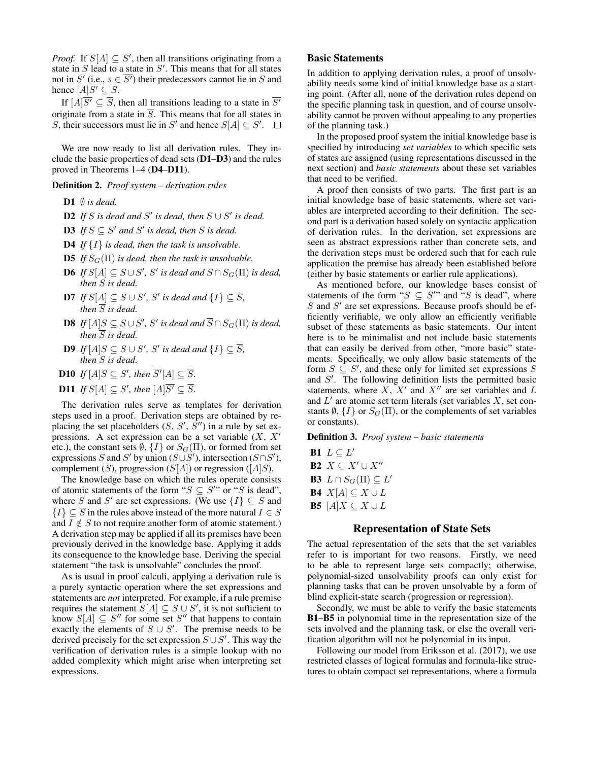*Proof.* If  $S[A] \subseteq S'$ , then all transitions originating from a state in  $S$  lead to a state in  $S'$ . This means that for all states not in S' (i.e.,  $s \in \overline{S'}$ ) their predecessors cannot lie in S and hence  $[A]\overline{S'} \subseteq \overline{S}$ .

If  $[A]\overline{S'} \subseteq \overline{S}$ , then all transitions leading to a state in  $\overline{S'}$ originate from a state in  $\overline{S}$ . This means that for all states in S, their successors must lie in S' and hence  $S[A] \subseteq S'$ .

We are now ready to list all derivation rules. They include the basic properties of dead sets (D1–D3) and the rules proved in Theorems 1–4 (D4–D11).

### Definition 2. *Proof system – derivation rules*

- D1  $\emptyset$  *is dead.*
- **D2** If S is dead and S' is dead, then  $S \cup S'$  is dead.
- **D3** If  $S \subseteq S'$  and  $S'$  is dead, then S is dead.
- D4 *If* {I} *is dead, then the task is unsolvable.*
- **D5** *If*  $S_G(\Pi)$  *is dead, then the task is unsolvable.*
- **D6** *If*  $S[A] ⊆ S ∪ S'$ , S' is dead and  $S ∩ S_G(\Pi)$  is dead, *then* S *is dead.*
- **D7** *If*  $S[A] ⊆ S ∪ S'$ *, S' is dead and*  ${I}$  ${I}$  ${S}$ *⊆S, then*  $\overline{S}$  *is dead.*
- **D8** If  $[A]S ⊆ S ∪ S'$ , S' is dead and  $\overline{S} ∩ S_G(\Pi)$  is dead, *then*  $\overline{S}$  *is dead.*
- **D9** *If*  $[A]S ⊆ S ∪ S'$ *, S' is dead and*  ${I}$ *{I}*  $\subseteq \overline{S}$ *, then* S *is dead.*
- **D10** If  $[A]S \subseteq S'$ , then  $\overline{S'}[A] \subseteq \overline{S}$ .

**D11** If 
$$
S[A] \subseteq S'
$$
, then  $[A]\overline{S'} \subseteq \overline{S}$ .

The derivation rules serve as templates for derivation steps used in a proof. Derivation steps are obtained by replacing the set placeholders  $(S, S', \overline{S''})$  in a rule by set expressions. A set expression can be a set variable  $(X, X)$ etc.), the constant sets  $\emptyset$ ,  $\{I\}$  or  $S_G(\Pi)$ , or formed from set expressions S and S' by union  $(S \cup S')$ , intersection  $(S \cap S')$ , complement  $(S)$ , progression  $(S[A])$  or regression  $([A]S)$ .

The knowledge base on which the rules operate consists of atomic statements of the form " $S \subseteq S''$ " or "S is dead", where S and S' are set expressions. (We use  $\{I\} \subseteq S$  and  ${I} \subseteq \overline{S}$  in the rules above instead of the more natural  $I \in S$ and  $I \notin S$  to not require another form of atomic statement.) A derivation step may be applied if all its premises have been previously derived in the knowledge base. Applying it adds its consequence to the knowledge base. Deriving the special statement "the task is unsolvable" concludes the proof.

As is usual in proof calculi, applying a derivation rule is a purely syntactic operation where the set expressions and statements are *not* interpreted. For example, if a rule premise requires the statement  $S[A] \subseteq S \cup S'$ , it is not sufficient to know  $S[A] \subseteq S''$  for some set  $S''$  that happens to contain exactly the elements of  $S \cup S'$ . The premise needs to be derived precisely for the set expression  $S \cup S'$ . This way the verification of derivation rules is a simple lookup with no added complexity which might arise when interpreting set expressions.

### Basic Statements

In addition to applying derivation rules, a proof of unsolvability needs some kind of initial knowledge base as a starting point. (After all, none of the derivation rules depend on the specific planning task in question, and of course unsolvability cannot be proven without appealing to any properties of the planning task.)

In the proposed proof system the initial knowledge base is specified by introducing *set variables* to which specific sets of states are assigned (using representations discussed in the next section) and *basic statements* about these set variables that need to be verified.

A proof then consists of two parts. The first part is an initial knowledge base of basic statements, where set variables are interpreted according to their definition. The second part is a derivation based solely on syntactic application of derivation rules. In the derivation, set expressions are seen as abstract expressions rather than concrete sets, and the derivation steps must be ordered such that for each rule application the premise has already been established before (either by basic statements or earlier rule applications).

As mentioned before, our knowledge bases consist of statements of the form " $S \subseteq S''$ " and "S is dead", where  $S$  and  $S'$  are set expressions. Because proofs should be efficiently verifiable, we only allow an efficiently verifiable subset of these statements as basic statements. Our intent here is to be minimalist and not include basic statements that can easily be derived from other, "more basic" statements. Specifically, we only allow basic statements of the form  $S \subseteq S'$ , and these only for limited set expressions S and  $S'$ . The following definition lists the permitted basic statements, where  $X$ ,  $X'$  and  $X''$  are set variables and  $L$ and  $L'$  are atomic set term literals (set variables  $X$ , set constants  $\emptyset$ ,  $\{I\}$  or  $S_G(\Pi)$ , or the complements of set variables or constants).

### Definition 3. *Proof system – basic statements*

B1  $L \subseteq L'$ B2  $X \subseteq X' \cup X''$ **B3**  $L \cap S_G(\Pi) \subseteq L'$ **B4**  $X[A] \subseteq X \cup L$ **B5**  $[A]X \subseteq X \cup L$ 

### Representation of State Sets

The actual representation of the sets that the set variables refer to is important for two reasons. Firstly, we need to be able to represent large sets compactly; otherwise, polynomial-sized unsolvability proofs can only exist for planning tasks that can be proven unsolvable by a form of blind explicit-state search (progression or regression).

Secondly, we must be able to verify the basic statements B1–B5 in polynomial time in the representation size of the sets involved and the planning task, or else the overall verification algorithm will not be polynomial in its input.

Following our model from Eriksson et al. (2017), we use restricted classes of logical formulas and formula-like structures to obtain compact set representations, where a formula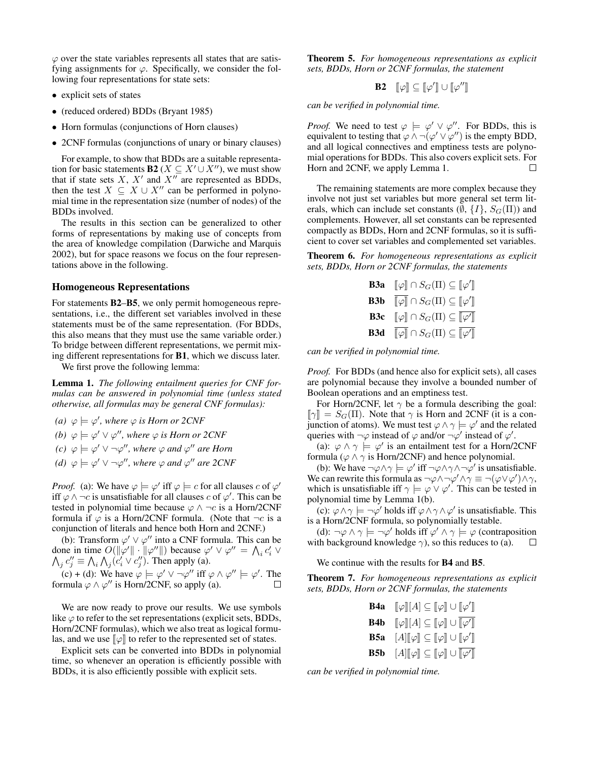$\varphi$  over the state variables represents all states that are satisfying assignments for  $\varphi$ . Specifically, we consider the following four representations for state sets:

- explicit sets of states
- (reduced ordered) BDDs (Bryant 1985)
- Horn formulas (conjunctions of Horn clauses)
- 2CNF formulas (conjunctions of unary or binary clauses)

For example, to show that BDDs are a suitable representation for basic statements **B2** ( $X \subseteq X' \cup X''$ ), we must show that if state sets  $X$ ,  $X'$  and  $X''$  are represented as BDDs, then the test  $X \subseteq X \cup X''$  can be performed in polynomial time in the representation size (number of nodes) of the BDDs involved.

The results in this section can be generalized to other forms of representations by making use of concepts from the area of knowledge compilation (Darwiche and Marquis 2002), but for space reasons we focus on the four representations above in the following.

#### Homogeneous Representations

For statements B2–B5, we only permit homogeneous representations, i.e., the different set variables involved in these statements must be of the same representation. (For BDDs, this also means that they must use the same variable order.) To bridge between different representations, we permit mixing different representations for B1, which we discuss later.

We first prove the following lemma:

Lemma 1. *The following entailment queries for CNF formulas can be answered in polynomial time (unless stated otherwise, all formulas may be general CNF formulas):*

- *(a)*  $\varphi \models \varphi'$ , where  $\varphi$  *is Horn or 2CNF*
- *(b)*  $\varphi \models \varphi' \lor \varphi''$ , where  $\varphi$  *is Horn or 2CNF*
- $\varphi$  (*c*)  $\varphi \models \varphi' \lor \neg \varphi'',$  where  $\varphi$  *and*  $\varphi''$  *are Horn*
- *(d)*  $\varphi \models \varphi' \lor \neg \varphi'',$  where  $\varphi$  *and*  $\varphi''$  *are 2CNF*

*Proof.* (a): We have  $\varphi \models \varphi'$  iff  $\varphi \models c$  for all clauses c of  $\varphi'$ iff  $\varphi \wedge \neg c$  is unsatisfiable for all clauses c of  $\varphi'$ . This can be tested in polynomial time because  $\varphi \wedge \neg c$  is a Horn/2CNF formula if  $\varphi$  is a Horn/2CNF formula. (Note that  $\neg c$  is a conjunction of literals and hence both Horn and 2CNF.)

(b): Transform  $\varphi' \lor \varphi''$  into a CNF formula. This can be done in time  $O(||\varphi'|| \cdot ||\varphi''||)$  because  $\varphi' \vee \varphi'' = \bigwedge_i c'_i \vee$  $\bigwedge_j c''_j \equiv \bigwedge_i \bigwedge_j (\overline{c'_i} \vee \overline{c''_j})$ . Then apply (a).

(c) + (d): We have  $\varphi \models \varphi' \lor \neg \varphi''$  iff  $\varphi \land \varphi'' \models \varphi'$ . The formula  $\varphi \wedge \varphi''$  is Horn/2CNF, so apply (a). П

We are now ready to prove our results. We use symbols like  $\varphi$  to refer to the set representations (explicit sets, BDDs, Horn/2CNF formulas), which we also treat as logical formulas, and we use  $\llbracket \varphi \rrbracket$  to refer to the represented set of states.

Explicit sets can be converted into BDDs in polynomial time, so whenever an operation is efficiently possible with BDDs, it is also efficiently possible with explicit sets.

Theorem 5. *For homogeneous representations as explicit sets, BDDs, Horn or 2CNF formulas, the statement*

$$
\mathbf{B2} \quad [\![\varphi]\!] \subseteq [\![\varphi']\!] \cup [\![\varphi'']\!]
$$

*can be verified in polynomial time.*

*Proof.* We need to test  $\varphi \models \varphi' \lor \varphi''$ . For BDDs, this is equivalent to testing that  $\varphi \wedge \neg(\varphi' \vee \varphi'')$  is the empty BDD, and all logical connectives and emptiness tests are polynomial operations for BDDs. This also covers explicit sets. For Horn and 2CNF, we apply Lemma 1.  $\Box$ 

The remaining statements are more complex because they involve not just set variables but more general set term literals, which can include set constants  $(\emptyset, \{I\}, S_G(\Pi))$  and complements. However, all set constants can be represented compactly as BDDs, Horn and 2CNF formulas, so it is sufficient to cover set variables and complemented set variables.

Theorem 6. *For homogeneous representations as explicit sets, BDDs, Horn or 2CNF formulas, the statements*

| $\llbracket \varphi \rrbracket \cap S_G(\Pi) \subseteq \llbracket \varphi' \rrbracket$            |
|---------------------------------------------------------------------------------------------------|
| $\overline{\llbracket \varphi \rrbracket} \cap S_G(\Pi) \subseteq \llbracket \varphi' \rrbracket$ |
| $\llbracket \varphi \rrbracket \cap S_G(\Pi) \subseteq \llbracket \varphi' \rrbracket$            |
| $\llbracket \varphi \rrbracket \cap S_G(\Pi) \subseteq \llbracket \varphi' \rrbracket$            |
|                                                                                                   |

*can be verified in polynomial time.*

*Proof.* For BDDs (and hence also for explicit sets), all cases are polynomial because they involve a bounded number of Boolean operations and an emptiness test.

For Horn/2CNF, let  $\gamma$  be a formula describing the goal:  $[\![\gamma]\!] = S_G(\Pi)$ . Note that  $\gamma$  is Horn and 2CNF (it is a conjunction of atoms). We must test  $\varphi \wedge \gamma \models \varphi'$  and the related queries with  $\neg \varphi$  instead of  $\varphi$  and/or  $\neg \varphi'$  instead of  $\varphi'$ .

(a):  $\varphi \wedge \gamma \models \varphi'$  is an entailment test for a Horn/2CNF formula ( $\varphi \wedge \gamma$  is Horn/2CNF) and hence polynomial.

(b): We have  $\neg \varphi \land \gamma \models \varphi'$  iff  $\neg \varphi \land \gamma \land \neg \varphi'$  is unsatisfiable. We can rewrite this formula as  $\neg \varphi \land \neg \varphi' \land \gamma \equiv \neg (\varphi \lor \varphi') \land \gamma$ , which is unsatisfiable iff  $\gamma \models \varphi \lor \varphi'$ . This can be tested in polynomial time by Lemma 1(b).

(c):  $\varphi \land \gamma \models \neg \varphi'$  holds iff  $\varphi \land \gamma \land \varphi'$  is unsatisfiable. This is a Horn/2CNF formula, so polynomially testable.

(d):  $\neg \varphi \land \gamma \models \neg \varphi'$  holds iff  $\varphi' \land \gamma \models \varphi$  (contraposition with background knowledge  $\gamma$ ), so this reduces to (a).  $\Box$ 

We continue with the results for **B4** and **B5**.

Theorem 7. *For homogeneous representations as explicit sets, BDDs, Horn or 2CNF formulas, the statements*

> **B4a**  $[\![\varphi]\!][A]\subseteq [\![\varphi]\!] \cup [\![\varphi']\!]$  $\frac{1}{2}$ **B4b**  $\llbracket \varphi \rrbracket[A] \subseteq \llbracket \varphi \rrbracket \cup \overline{\llbracket \varphi' \rrbracket}$ **B5a**  $[A][\varphi] \subseteq [\varphi] \cup [\varphi']$  $\frac{1}{2}$ **B5b**  $[A][\varphi] \subseteq [\varphi] \cup [\overline{\varphi'}]$

*can be verified in polynomial time.*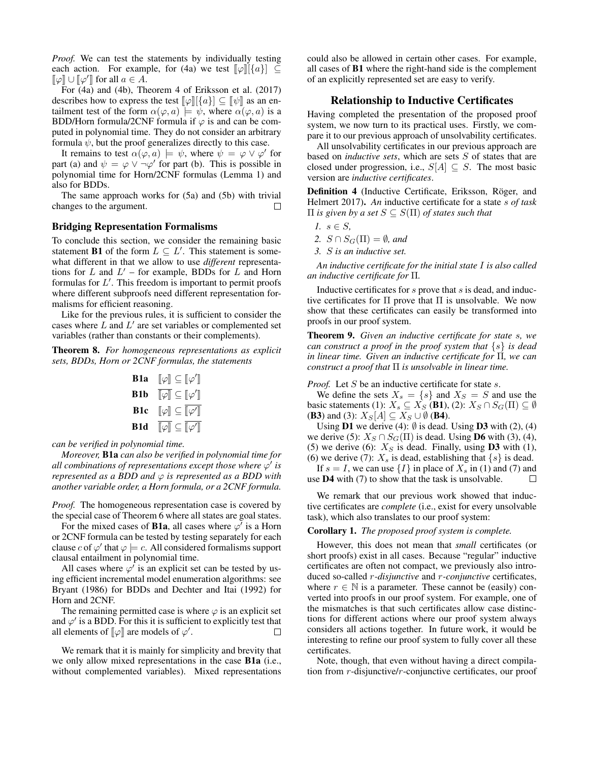*Proof.* We can test the statements by individually testing each action. For example, for (4a) we test  $\llbracket \varphi \rrbracket [\{a\}] \subseteq$  $\llbracket \varphi \rrbracket \cup \llbracket \varphi' \rrbracket$  for all  $a \in A$ .<br>For  $(A_2)$  and  $(A_1)$ . Then

For (4a) and (4b), Theorem 4 of Eriksson et al. (2017) describes how to express the test  $\llbracket \varphi \rrbracket \leq \llbracket \psi \rrbracket$  as an entailment test of the form  $\alpha(\varphi, a) \models \psi$ , where  $\alpha(\varphi, a)$  is a BDD/Horn formula/2CNF formula if  $\varphi$  is and can be computed in polynomial time. They do not consider an arbitrary formula  $\psi$ , but the proof generalizes directly to this case.

It remains to test  $\alpha(\varphi, a) \models \psi$ , where  $\psi = \varphi \vee \varphi'$  for part (a) and  $\psi = \varphi \vee \neg \varphi'$  for part (b). This is possible in polynomial time for Horn/2CNF formulas (Lemma 1) and also for BDDs.

The same approach works for (5a) and (5b) with trivial changes to the argument.  $\Box$ 

## Bridging Representation Formalisms

To conclude this section, we consider the remaining basic statement **B1** of the form  $L \subseteq L'$ . This statement is somewhat different in that we allow to use *different* representations for  $L$  and  $L'$  – for example, BDDs for  $L$  and Horn formulas for  $L'$ . This freedom is important to permit proofs where different subproofs need different representation formalisms for efficient reasoning.

Like for the previous rules, it is sufficient to consider the cases where  $L$  and  $L'$  are set variables or complemented set variables (rather than constants or their complements).

Theorem 8. *For homogeneous representations as explicit sets, BDDs, Horn or 2CNF formulas, the statements*

**B1a** 
$$
\llbracket \varphi \rrbracket \subseteq \llbracket \varphi' \rrbracket
$$
**B1b** 
$$
\llbracket \varphi \rrbracket \subseteq \llbracket \varphi' \rrbracket
$$
**B1c** 
$$
\llbracket \varphi \rrbracket \subseteq \llbracket \varphi' \rrbracket
$$
**B1d** 
$$
\llbracket \varphi \rrbracket \subseteq \llbracket \varphi' \rrbracket
$$

*can be verified in polynomial time.*

*Moreover,* B1a *can also be verified in polynomial time for all combinations of representations except those where* ϕ 0 *is represented as a BDD and*  $\varphi$  *is represented as a BDD with another variable order, a Horn formula, or a 2CNF formula.*

*Proof.* The homogeneous representation case is covered by the special case of Theorem 6 where all states are goal states.

For the mixed cases of **B1a**, all cases where  $\varphi'$  is a Horn or 2CNF formula can be tested by testing separately for each clause c of  $\varphi'$  that  $\varphi \models c$ . All considered formalisms support clausal entailment in polynomial time.

All cases where  $\varphi'$  is an explicit set can be tested by using efficient incremental model enumeration algorithms: see Bryant (1986) for BDDs and Dechter and Itai (1992) for Horn and 2CNF.

The remaining permitted case is where  $\varphi$  is an explicit set and  $\varphi'$  is a BDD. For this it is sufficient to explicitly test that all elements of  $\llbracket \varphi \rrbracket$  are models of  $\varphi'$ .  $\Box$ 

We remark that it is mainly for simplicity and brevity that we only allow mixed representations in the case B1a (i.e., without complemented variables). Mixed representations could also be allowed in certain other cases. For example, all cases of B1 where the right-hand side is the complement of an explicitly represented set are easy to verify.

## Relationship to Inductive Certificates

Having completed the presentation of the proposed proof system, we now turn to its practical uses. Firstly, we compare it to our previous approach of unsolvability certificates.

All unsolvability certificates in our previous approach are based on *inductive sets*, which are sets S of states that are closed under progression, i.e.,  $S[A] \subseteq S$ . The most basic version are *inductive certificates*.

Definition 4 (Inductive Certificate, Eriksson, Röger, and Helmert 2017). *An* inductive certificate for a state s *of task*  $\Pi$  *is given by a set*  $S \subseteq S(\Pi)$  *of states such that* 

- *1.* s ∈ S*,*
- 2.  $S \cap S_G(\Pi) = \emptyset$ *, and*
- *3.* S *is an inductive set.*

*An inductive certificate for the initial state* I *is also called an inductive certificate for* Π*.*

Inductive certificates for  $s$  prove that  $s$  is dead, and inductive certificates for  $\Pi$  prove that  $\Pi$  is unsolvable. We now show that these certificates can easily be transformed into proofs in our proof system.

Theorem 9. *Given an inductive certificate for state* s*, we can construct a proof in the proof system that* {s} *is dead in linear time. Given an inductive certificate for* Π*, we can construct a proof that* Π *is unsolvable in linear time.*

*Proof.* Let S be an inductive certificate for state s.

We define the sets  $X_s = \{s\}$  and  $X_s = S$  and use the basic statements (1):  $X_s \subseteq X_S$  (B1), (2):  $X_S \cap S_G(\Pi) \subseteq \emptyset$ (**B3**) and (3):  $X_S[A] \subseteq X_S \cup \emptyset$  (**B4**).

Using  $D1$  we derive (4):  $\emptyset$  is dead. Using  $D3$  with (2), (4) we derive (5):  $X_S \cap S_G(\Pi)$  is dead. Using **D6** with (3), (4), (5) we derive (6):  $X<sub>S</sub>$  is dead. Finally, using **D3** with (1), (6) we derive (7):  $X_s$  is dead, establishing that  $\{s\}$  is dead.

If  $s = I$ , we can use  $\{I\}$  in place of  $X_s$  in (1) and (7) and use D4 with (7) to show that the task is unsolvable.  $\Box$ 

We remark that our previous work showed that inductive certificates are *complete* (i.e., exist for every unsolvable task), which also translates to our proof system:

#### Corollary 1. *The proposed proof system is complete.*

However, this does not mean that *small* certificates (or short proofs) exist in all cases. Because "regular" inductive certificates are often not compact, we previously also introduced so-called r*-disjunctive* and r*-conjunctive* certificates, where  $r \in \mathbb{N}$  is a parameter. These cannot be (easily) converted into proofs in our proof system. For example, one of the mismatches is that such certificates allow case distinctions for different actions where our proof system always considers all actions together. In future work, it would be interesting to refine our proof system to fully cover all these certificates.

Note, though, that even without having a direct compilation from r-disjunctive/r-conjunctive certificates, our proof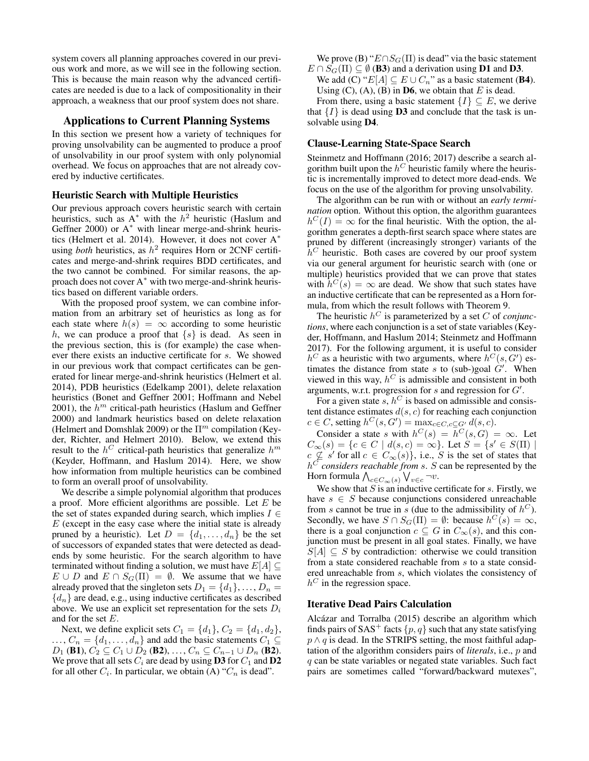system covers all planning approaches covered in our previous work and more, as we will see in the following section. This is because the main reason why the advanced certificates are needed is due to a lack of compositionality in their approach, a weakness that our proof system does not share.

### Applications to Current Planning Systems

In this section we present how a variety of techniques for proving unsolvability can be augmented to produce a proof of unsolvability in our proof system with only polynomial overhead. We focus on approaches that are not already covered by inductive certificates.

### Heuristic Search with Multiple Heuristics

Our previous approach covers heuristic search with certain heuristics, such as  $A^*$  with the  $h^2$  heuristic (Haslum and Geffner 2000) or  $A^*$  with linear merge-and-shrink heuristics (Helmert et al. 2014). However, it does not cover A<sup>∗</sup> using *both* heuristics, as  $h^2$  requires Horn or 2CNF certificates and merge-and-shrink requires BDD certificates, and the two cannot be combined. For similar reasons, the approach does not cover A<sup>∗</sup> with two merge-and-shrink heuristics based on different variable orders.

With the proposed proof system, we can combine information from an arbitrary set of heuristics as long as for each state where  $h(s) = \infty$  according to some heuristic h, we can produce a proof that  $\{s\}$  is dead. As seen in the previous section, this is (for example) the case whenever there exists an inductive certificate for s. We showed in our previous work that compact certificates can be generated for linear merge-and-shrink heuristics (Helmert et al. 2014), PDB heuristics (Edelkamp 2001), delete relaxation heuristics (Bonet and Geffner 2001; Hoffmann and Nebel 2001), the  $h^m$  critical-path heuristics (Haslum and Geffner 2000) and landmark heuristics based on delete relaxation (Helmert and Domshlak 2009) or the  $\Pi^m$  compilation (Keyder, Richter, and Helmert 2010). Below, we extend this result to the  $h^C$  critical-path heuristics that generalize  $h^m$ (Keyder, Hoffmann, and Haslum 2014). Here, we show how information from multiple heuristics can be combined to form an overall proof of unsolvability.

We describe a simple polynomial algorithm that produces a proof. More efficient algorithms are possible. Let  $E$  be the set of states expanded during search, which implies  $I \in$  $E$  (except in the easy case where the initial state is already pruned by a heuristic). Let  $D = \{d_1, \ldots, d_n\}$  be the set of successors of expanded states that were detected as deadends by some heuristic. For the search algorithm to have terminated without finding a solution, we must have  $E[A] \subseteq$  $E \cup D$  and  $E \cap S_G(\Pi) = \emptyset$ . We assume that we have already proved that the singleton sets  $D_1 = \{d_1\}, \ldots, D_n =$  ${d_n}$  are dead, e.g., using inductive certificates as described above. We use an explicit set representation for the sets  $D_i$ and for the set E.

Next, we define explicit sets  $C_1 = \{d_1\}$ ,  $C_2 = \{d_1, d_2\}$ ,  $\ldots$ ,  $C_n = \{d_1, \ldots, d_n\}$  and add the basic statements  $C_1 \subseteq$  $D_1$  (B1),  $C_2 \subseteq C_1 \cup D_2$  (B2), ...,  $C_n \subseteq C_{n-1} \cup D_n$  (B2). We prove that all sets  $C_i$  are dead by using **D3** for  $C_1$  and **D2** for all other  $C_i$ . In particular, we obtain (A) " $C_n$  is dead".

We prove (B) " $E \cap S_G(\Pi)$  is dead" via the basic statement  $E \cap S_G(\Pi) \subseteq \emptyset$  (B3) and a derivation using D1 and D3.

We add (C) " $E[A] \subseteq E \cup C_n$ " as a basic statement (B4). Using  $(C)$ ,  $(A)$ ,  $(B)$  in **D6**, we obtain that E is dead.

From there, using a basic statement  $\{I\} \subseteq E$ , we derive that  $\{I\}$  is dead using **D3** and conclude that the task is unsolvable using D4.

#### Clause-Learning State-Space Search

Steinmetz and Hoffmann (2016; 2017) describe a search algorithm built upon the  $h^C$  heuristic family where the heuristic is incrementally improved to detect more dead-ends. We focus on the use of the algorithm for proving unsolvability.

The algorithm can be run with or without an *early termination* option. Without this option, the algorithm guarantees  $h^{C}(I) = \infty$  for the final heuristic. With the option, the algorithm generates a depth-first search space where states are pruned by different (increasingly stronger) variants of the  $\bar{h}^C$  heuristic. Both cases are covered by our proof system via our general argument for heuristic search with (one or multiple) heuristics provided that we can prove that states with  $\bar{h}^C(s) = \infty$  are dead. We show that such states have an inductive certificate that can be represented as a Horn formula, from which the result follows with Theorem 9.

The heuristic  $h^C$  is parameterized by a set  $C$  of *conjunctions*, where each conjunction is a set of state variables (Keyder, Hoffmann, and Haslum 2014; Steinmetz and Hoffmann 2017). For the following argument, it is useful to consider  $h^C$  as a heuristic with two arguments, where  $h^C(s, G')$  estimates the distance from state s to (sub-)goal  $G'$ . When viewed in this way,  $h^C$  is admissible and consistent in both arguments, w.r.t. progression for  $s$  and regression for  $G'$ .

For a given state  $s, h^C$  is based on admissible and consistent distance estimates  $d(s, c)$  for reaching each conjunction  $c \in C$ , setting  $h^C(s, G') = \max_{c \in C, c \subseteq G'} d(s, c)$ .

Consider a state s with  $h^C(s) = h^C(s, G) = \infty$ . Let  $C_{\infty}(s) = \{c \in C \mid d(s, c) = \infty\}.$  Let  $S = \{s' \in S(\Pi) \mid s \in S(\Pi)\}\$  $c \nsubseteq s'$  for all  $c \in C_{\infty}(s)$ , i.e., S is the set of states that  $h^C$  *considers reachable from s. S* can be represented by the Horn formula  $\bigwedge_{c \in C_\infty(s)} \bigvee_{v \in c} \neg v.$ 

We show that  $S$  is an inductive certificate for  $s$ . Firstly, we have  $s \in S$  because conjunctions considered unreachable from s cannot be true in s (due to the admissibility of  $h^C$ ). Secondly, we have  $S \cap S_G(\Pi) = \emptyset$ : because  $h^C(s) = \infty$ , there is a goal conjunction  $c \subseteq G$  in  $C_{\infty}(s)$ , and this conjunction must be present in all goal states. Finally, we have  $S[A] \subseteq S$  by contradiction: otherwise we could transition from a state considered reachable from s to a state considered unreachable from s, which violates the consistency of  $h^C$  in the regression space.

### Iterative Dead Pairs Calculation

Alcázar and Torralba (2015) describe an algorithm which finds pairs of SAS<sup>+</sup> facts  $\{p, q\}$  such that any state satisfying  $p \wedge q$  is dead. In the STRIPS setting, the most faithful adaptation of the algorithm considers pairs of *literals*, i.e., p and  $q$  can be state variables or negated state variables. Such fact pairs are sometimes called "forward/backward mutexes",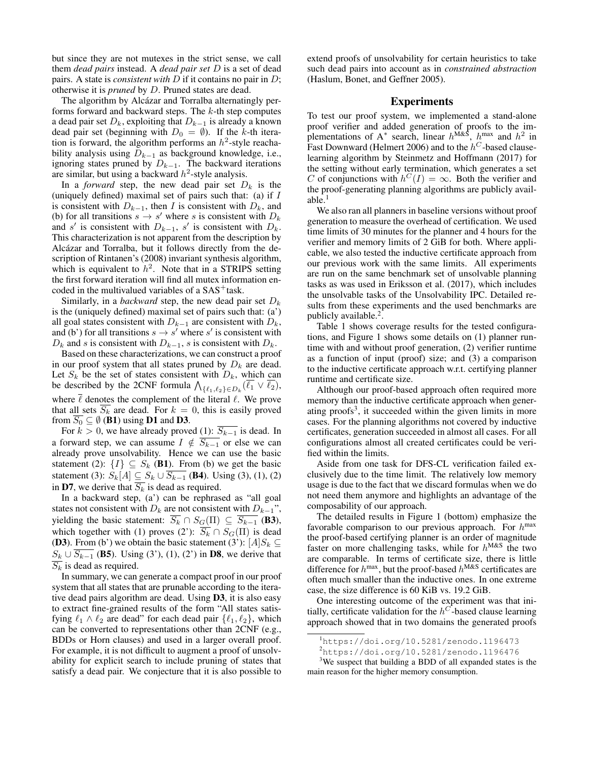but since they are not mutexes in the strict sense, we call them *dead pairs* instead. A *dead pair set* D is a set of dead pairs. A state is *consistent with* D if it contains no pair in D; otherwise it is *pruned* by D. Pruned states are dead.

The algorithm by Alcázar and Torralba alternatingly performs forward and backward steps. The  $k$ -th step computes a dead pair set  $D_k$ , exploiting that  $D_{k-1}$  is already a known dead pair set (beginning with  $D_0 = \emptyset$ ). If the k-th iteration is forward, the algorithm performs an  $h^2$ -style reachability analysis using  $D_{k-1}$  as background knowledge, i.e., ignoring states pruned by  $D_{k-1}$ . The backward iterations are similar, but using a backward  $h^2$ -style analysis.

In a *forward* step, the new dead pair set  $D_k$  is the (uniquely defined) maximal set of pairs such that: (a) if  $I$ is consistent with  $D_{k-1}$ , then I is consistent with  $D_k$ , and (b) for all transitions  $s \to s'$  where s is consistent with  $D_k$ and s' is consistent with  $D_{k-1}$ , s' is consistent with  $D_k$ . This characterization is not apparent from the description by Alcázar and Torralba, but it follows directly from the description of Rintanen's (2008) invariant synthesis algorithm, which is equivalent to  $h^2$ . Note that in a STRIPS setting the first forward iteration will find all mutex information encoded in the multivalued variables of a  $SAS<sup>+</sup>$  task.

Similarly, in a *backward* step, the new dead pair set  $D_k$ is the (uniquely defined) maximal set of pairs such that: (a') all goal states consistent with  $D_{k-1}$  are consistent with  $D_k$ , and (b') for all transitions  $s \to s'$  where s' is consistent with  $D_k$  and s is consistent with  $D_{k-1}$ , s is consistent with  $D_k$ .

Based on these characterizations, we can construct a proof in our proof system that all states pruned by  $D_k$  are dead. Let  $S_k$  be the set of states consistent with  $D_k$ , which can be described by the 2CNF formula  $\bigwedge_{\{\ell_1,\ell_2\}\in D_k} (\overline{\ell_1} \vee \overline{\ell_2}),$ where  $\bar{\ell}$  denotes the complement of the literal  $\ell$ . We prove that all sets  $\overline{S_k}$  are dead. For  $k = 0$ , this is easily proved from  $S_0 \subseteq \emptyset$  (**B1**) using **D1** and **D3**.

For  $k > 0$ , we have already proved (1):  $\overline{S_{k-1}}$  is dead. In a forward step, we can assume  $I \notin \overline{S_{k-1}}$  or else we can already prove unsolvability. Hence we can use the basic statement (2):  $\{I\} \subseteq S_k$  (B1). From (b) we get the basic statement (3):  $S_k[A] \subseteq S_k \cup \overline{S_{k-1}}$  (**B4**). Using (3), (1), (2) in D7, we derive that  $\overline{S_k}$  is dead as required.

In a backward step, (a') can be rephrased as "all goal states not consistent with  $D_k$  are not consistent with  $D_{k-1}$ ", yielding the basic statement:  $\overline{S_k} \cap S_G(\Pi) \subseteq \overline{S_{k-1}}$  (**B3**), which together with (1) proves (2'):  $\overline{S_k} \cap S_G(\Pi)$  is dead (D3). From (b') we obtain the basic statement (3'):  $[A]S_k \subseteq$  $S_k \cup \overline{S_{k-1}}$  (B5). Using (3'), (1), (2') in D8, we derive that  $S_k$  is dead as required.

In summary, we can generate a compact proof in our proof system that all states that are prunable according to the iterative dead pairs algorithm are dead. Using D3, it is also easy to extract fine-grained results of the form "All states satisfying  $\ell_1 \wedge \ell_2$  are dead" for each dead pair  $\{\ell_1, \ell_2\}$ , which can be converted to representations other than 2CNF (e.g., BDDs or Horn clauses) and used in a larger overall proof. For example, it is not difficult to augment a proof of unsolvability for explicit search to include pruning of states that satisfy a dead pair. We conjecture that it is also possible to extend proofs of unsolvability for certain heuristics to take such dead pairs into account as in *constrained abstraction* (Haslum, Bonet, and Geffner 2005).

### Experiments

To test our proof system, we implemented a stand-alone proof verifier and added generation of proofs to the implementations of A<sup>\*</sup> search, linear  $h^{M\&S}$ ,  $h^{max}$  and  $h^2$  in Fast Downward (Helmert 2006) and to the  $h^C$ -based clauselearning algorithm by Steinmetz and Hoffmann (2017) for the setting without early termination, which generates a set C of conjunctions with  $h^{C}(I) = \infty$ . Both the verifier and the proof-generating planning algorithms are publicly available. $<sup>1</sup>$ </sup>

We also ran all planners in baseline versions without proof generation to measure the overhead of certification. We used time limits of 30 minutes for the planner and 4 hours for the verifier and memory limits of 2 GiB for both. Where applicable, we also tested the inductive certificate approach from our previous work with the same limits. All experiments are run on the same benchmark set of unsolvable planning tasks as was used in Eriksson et al. (2017), which includes the unsolvable tasks of the Unsolvability IPC. Detailed results from these experiments and the used benchmarks are publicly available.<sup>2</sup>.

Table 1 shows coverage results for the tested configurations, and Figure 1 shows some details on (1) planner runtime with and without proof generation, (2) verifier runtime as a function of input (proof) size; and (3) a comparison to the inductive certificate approach w.r.t. certifying planner runtime and certificate size.

Although our proof-based approach often required more memory than the inductive certificate approach when generating proofs<sup>3</sup> , it succeeded within the given limits in more cases. For the planning algorithms not covered by inductive certificates, generation succeeded in almost all cases. For all configurations almost all created certificates could be verified within the limits.

Aside from one task for DFS-CL verification failed exclusively due to the time limit. The relatively low memory usage is due to the fact that we discard formulas when we do not need them anymore and highlights an advantage of the composability of our approach.

The detailed results in Figure 1 (bottom) emphasize the favorable comparison to our previous approach. For  $h^{\text{max}}$ the proof-based certifying planner is an order of magnitude faster on more challenging tasks, while for  $h^{M\&S}$  the two are comparable. In terms of certificate size, there is little difference for  $h^{max}$ , but the proof-based  $h^{M&S}$  certificates are often much smaller than the inductive ones. In one extreme case, the size difference is 60 KiB vs. 19.2 GiB.

One interesting outcome of the experiment was that initially, certificate validation for the  $h^{C}$ -based clause learning approach showed that in two domains the generated proofs

<sup>1</sup>https://doi.org/10.5281/zenodo.1196473

 $2$ https://doi.org/10.5281/zenodo.1196476

<sup>&</sup>lt;sup>3</sup>We suspect that building a BDD of all expanded states is the main reason for the higher memory consumption.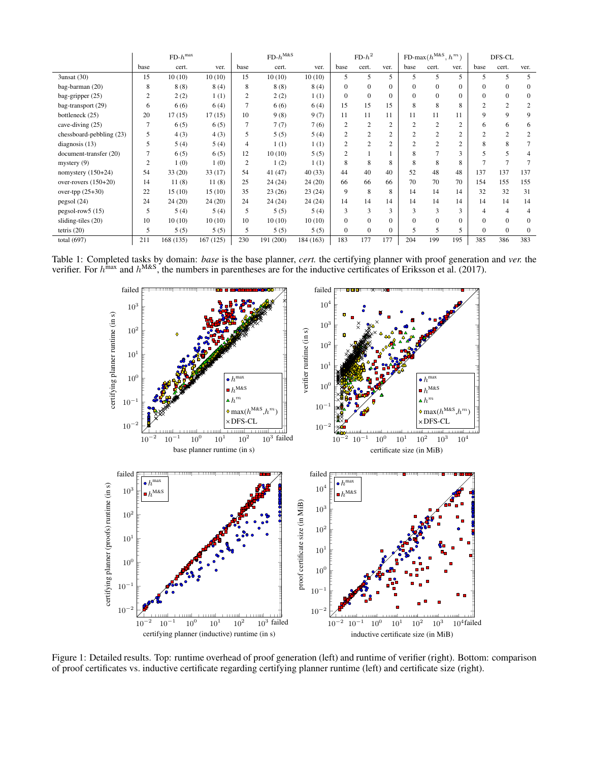|                          | $FD$ - $h^{max}$ |           |           | $FD-h^{M\&S}$  |           |           | $FD-h^2$       |                |                | FD-max $(h^{\text{M&S}}, h^m)$ |                |          | DFS-CL         |                |                |
|--------------------------|------------------|-----------|-----------|----------------|-----------|-----------|----------------|----------------|----------------|--------------------------------|----------------|----------|----------------|----------------|----------------|
|                          | base             | cert.     | ver.      | base           | cert.     | ver.      | base           | cert.          | ver.           | base                           | cert.          | ver.     | base           | cert.          | ver.           |
| 3unsat (30)              | 15               | 10(10)    | 10(10)    | 15             | 10(10)    | 10(10)    | 5              | 5              | 5              | 5                              | 5              | 5        | 5              | 5              | 5              |
| bag-barman (20)          | 8                | 8(8)      | 8(4)      | 8              | 8(8)      | 8(4)      | $\Omega$       | $\Omega$       | $\mathbf{0}$   | $\overline{0}$                 | $\Omega$       |          | $\Omega$       | $\mathbf{0}$   | $\mathbf{0}$   |
| bag-gripper (25)         | $\overline{c}$   | 2(2)      | 1(1)      | $\overline{c}$ | 2(2)      | 1(1)      | $\Omega$       | $\Omega$       | $\overline{0}$ | $\Omega$                       | $\Omega$       | $\Omega$ | $\Omega$       | $\Omega$       | $\mathbf{0}$   |
| bag-transport (29)       | 6                | 6(6)      | 6(4)      | $\overline{7}$ | 6(6)      | 6(4)      | 15             | 15             | 15             | 8                              | 8              | 8        | $\mathcal{L}$  | $\overline{2}$ | $\overline{c}$ |
| bottleneck (25)          | 20               | 17(15)    | 17(15)    | 10             | 9(8)      | 9(7)      | 11             | 11             | 11             | 11                             | 11             | 11       | 9              | 9              | 9              |
| cave-diving (25)         | 7                | 6(5)      | 6(5)      | $\tau$         | 7(7)      | 7(6)      |                | $\overline{2}$ | $\overline{c}$ | $\overline{c}$                 | $\overline{2}$ | 2        | 6              | 6              | 6              |
| chessboard-pebbling (23) | 5                | 4(3)      | 4(3)      | 5              | 5(5)      | 5(4)      | $\overline{c}$ | $\overline{c}$ | $\overline{2}$ | $\overline{2}$                 | $\overline{c}$ | 2        | $\overline{c}$ | $\overline{2}$ | $\overline{c}$ |
| diagnosis (13)           | 5                | 5(4)      | 5(4)      | 4              | 1(1)      | 1(1)      | $\overline{c}$ | 2              | $\overline{2}$ | $\overline{c}$                 | $\mathfrak{2}$ | $\gamma$ | 8              | 8              |                |
| document-transfer (20)   | 7                | 6(5)      | 6(5)      | 12             | 10(10)    | 5(5)      | $\overline{c}$ |                |                | 8                              |                | 3        |                | 5              | 4              |
| mystery $(9)$            | $\overline{2}$   | 1(0)      | 1(0)      | $\overline{2}$ | 1(2)      | 1(1)      | 8              | 8              | 8              | 8                              | 8              | 8        |                | 7              |                |
| nomystery (150+24)       | 54               | 33(20)    | 33(17)    | 54             | 41(47)    | 40(33)    | 44             | 40             | 40             | 52                             | 48             | 48       | 137            | 137            | 137            |
| over-rovers $(150+20)$   | 14               | 11(8)     | 11(8)     | 25             | 24(24)    | 24(20)    | 66             | 66             | 66             | 70                             | 70             | 70       | 154            | 155            | 155            |
| over-tpp (25+30)         | 22               | 15(10)    | 15(10)    | 35             | 23(26)    | 23(24)    | 9              | 8              | 8              | 14                             | 14             | 14       | 32             | 32             | 31             |
| pegsol(24)               | 24               | 24(20)    | 24(20)    | 24             | 24 (24)   | 24(24)    | 14             | 14             | 14             | 14                             | 14             | 14       | 14             | 14             | 14             |
| pegsol-row5 (15)         | 5                | 5(4)      | 5(4)      | 5              | 5(5)      | 5(4)      | 3              | 3              | 3              | 3                              | 3              | 3        | 4              | $\overline{4}$ | $\overline{4}$ |
| sliding-tiles (20)       | 10               | 10(10)    | 10(10)    | 10             | 10(10)    | 10(10)    | $\Omega$       | $\Omega$       | $\overline{0}$ | $\Omega$                       | $\Omega$       | $\Omega$ | $\Omega$       | $\Omega$       | $\mathbf{0}$   |
| tetris $(20)$            | 5                | 5(5)      | 5(5)      | 5              | 5(5)      | 5(5)      | $\mathbf{0}$   | $\mathbf{0}$   | $\overline{0}$ | 5                              | 5              | 5        | $\Omega$       | $\mathbf{0}$   | $\mathbf{0}$   |
| total $(697)$            | 211              | 168 (135) | 167 (125) | 230            | 191 (200) | 184 (163) | 183            | 177            | 177            | 204                            | 199            | 195      | 385            | 386            | 383            |

Table 1: Completed tasks by domain: *base* is the base planner, *cert.* the certifying planner with proof generation and *ver.* the verifier. For  $h^{max}$  and  $h^{M&S}$ , the numbers in parentheses are for the inductive certificates of Eriksson et al. (2017).



Figure 1: Detailed results. Top: runtime overhead of proof generation (left) and runtime of verifier (right). Bottom: comparison of proof certificates vs. inductive certificate regarding certifying planner runtime (left) and certificate size (right).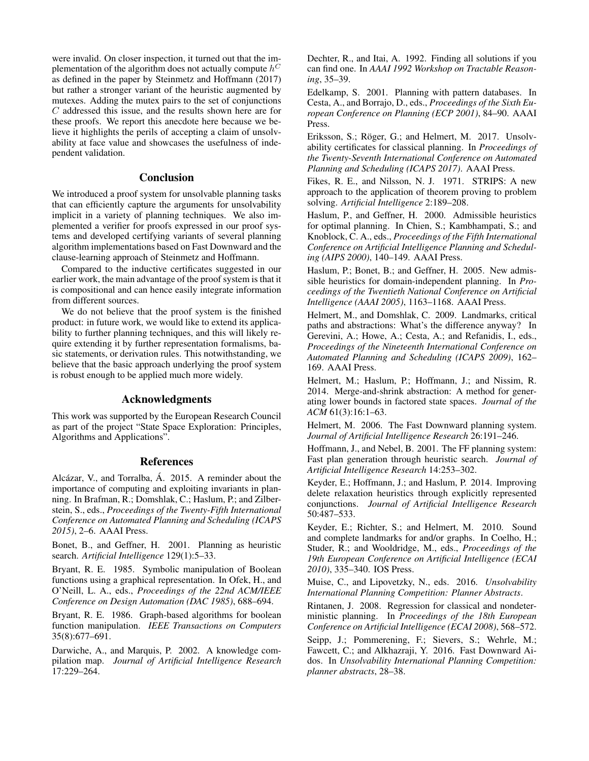were invalid. On closer inspection, it turned out that the implementation of the algorithm does not actually compute  $h^C$ as defined in the paper by Steinmetz and Hoffmann (2017) but rather a stronger variant of the heuristic augmented by mutexes. Adding the mutex pairs to the set of conjunctions C addressed this issue, and the results shown here are for these proofs. We report this anecdote here because we believe it highlights the perils of accepting a claim of unsolvability at face value and showcases the usefulness of independent validation.

### Conclusion

We introduced a proof system for unsolvable planning tasks that can efficiently capture the arguments for unsolvability implicit in a variety of planning techniques. We also implemented a verifier for proofs expressed in our proof systems and developed certifying variants of several planning algorithm implementations based on Fast Downward and the clause-learning approach of Steinmetz and Hoffmann.

Compared to the inductive certificates suggested in our earlier work, the main advantage of the proof system is that it is compositional and can hence easily integrate information from different sources.

We do not believe that the proof system is the finished product: in future work, we would like to extend its applicability to further planning techniques, and this will likely require extending it by further representation formalisms, basic statements, or derivation rules. This notwithstanding, we believe that the basic approach underlying the proof system is robust enough to be applied much more widely.

### Acknowledgments

This work was supported by the European Research Council as part of the project "State Space Exploration: Principles, Algorithms and Applications".

### References

Alcázar, V., and Torralba, Á. 2015. A reminder about the importance of computing and exploiting invariants in planning. In Brafman, R.; Domshlak, C.; Haslum, P.; and Zilberstein, S., eds., *Proceedings of the Twenty-Fifth International Conference on Automated Planning and Scheduling (ICAPS 2015)*, 2–6. AAAI Press.

Bonet, B., and Geffner, H. 2001. Planning as heuristic search. *Artificial Intelligence* 129(1):5–33.

Bryant, R. E. 1985. Symbolic manipulation of Boolean functions using a graphical representation. In Ofek, H., and O'Neill, L. A., eds., *Proceedings of the 22nd ACM/IEEE Conference on Design Automation (DAC 1985)*, 688–694.

Bryant, R. E. 1986. Graph-based algorithms for boolean function manipulation. *IEEE Transactions on Computers* 35(8):677–691.

Darwiche, A., and Marquis, P. 2002. A knowledge compilation map. *Journal of Artificial Intelligence Research* 17:229–264.

Dechter, R., and Itai, A. 1992. Finding all solutions if you can find one. In *AAAI 1992 Workshop on Tractable Reasoning*, 35–39.

Edelkamp, S. 2001. Planning with pattern databases. In Cesta, A., and Borrajo, D., eds., *Proceedings of the Sixth European Conference on Planning (ECP 2001)*, 84–90. AAAI Press.

Eriksson, S.; Röger, G.; and Helmert, M. 2017. Unsolvability certificates for classical planning. In *Proceedings of the Twenty-Seventh International Conference on Automated Planning and Scheduling (ICAPS 2017)*. AAAI Press.

Fikes, R. E., and Nilsson, N. J. 1971. STRIPS: A new approach to the application of theorem proving to problem solving. *Artificial Intelligence* 2:189–208.

Haslum, P., and Geffner, H. 2000. Admissible heuristics for optimal planning. In Chien, S.; Kambhampati, S.; and Knoblock, C. A., eds., *Proceedings of the Fifth International Conference on Artificial Intelligence Planning and Scheduling (AIPS 2000)*, 140–149. AAAI Press.

Haslum, P.; Bonet, B.; and Geffner, H. 2005. New admissible heuristics for domain-independent planning. In *Proceedings of the Twentieth National Conference on Artificial Intelligence (AAAI 2005)*, 1163–1168. AAAI Press.

Helmert, M., and Domshlak, C. 2009. Landmarks, critical paths and abstractions: What's the difference anyway? In Gerevini, A.; Howe, A.; Cesta, A.; and Refanidis, I., eds., *Proceedings of the Nineteenth International Conference on Automated Planning and Scheduling (ICAPS 2009)*, 162– 169. AAAI Press.

Helmert, M.; Haslum, P.; Hoffmann, J.; and Nissim, R. 2014. Merge-and-shrink abstraction: A method for generating lower bounds in factored state spaces. *Journal of the ACM* 61(3):16:1–63.

Helmert, M. 2006. The Fast Downward planning system. *Journal of Artificial Intelligence Research* 26:191–246.

Hoffmann, J., and Nebel, B. 2001. The FF planning system: Fast plan generation through heuristic search. *Journal of Artificial Intelligence Research* 14:253–302.

Keyder, E.; Hoffmann, J.; and Haslum, P. 2014. Improving delete relaxation heuristics through explicitly represented conjunctions. *Journal of Artificial Intelligence Research* 50:487–533.

Keyder, E.; Richter, S.; and Helmert, M. 2010. Sound and complete landmarks for and/or graphs. In Coelho, H.; Studer, R.; and Wooldridge, M., eds., *Proceedings of the 19th European Conference on Artificial Intelligence (ECAI 2010)*, 335–340. IOS Press.

Muise, C., and Lipovetzky, N., eds. 2016. *Unsolvability International Planning Competition: Planner Abstracts*.

Rintanen, J. 2008. Regression for classical and nondeterministic planning. In *Proceedings of the 18th European Conference on Artificial Intelligence (ECAI 2008)*, 568–572.

Seipp, J.; Pommerening, F.; Sievers, S.; Wehrle, M.; Fawcett, C.; and Alkhazraji, Y. 2016. Fast Downward Aidos. In *Unsolvability International Planning Competition: planner abstracts*, 28–38.